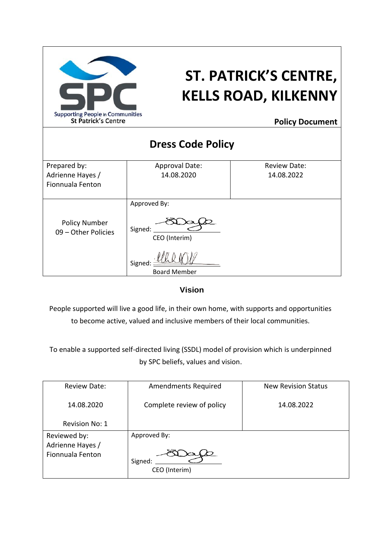

# **ST. PATRICK'S CENTRE, KELLS ROAD, KILKENNY**

**Policy Document**

| <b>Dress Code Policy</b>                    |                          |                     |  |  |
|---------------------------------------------|--------------------------|---------------------|--|--|
| Prepared by:                                | <b>Approval Date:</b>    | <b>Review Date:</b> |  |  |
| Adrienne Hayes /                            | 14.08.2020               | 14.08.2022          |  |  |
| Fionnuala Fenton                            |                          |                     |  |  |
|                                             | Approved By:             |                     |  |  |
| <b>Policy Number</b><br>09 - Other Policies | Signed:<br>CEO (Interim) |                     |  |  |
|                                             | Signed                   |                     |  |  |
|                                             | <b>Board Member</b>      |                     |  |  |

**Vision**

People supported will live a good life, in their own home, with supports and opportunities to become active, valued and inclusive members of their local communities.

To enable a supported self-directed living (SSDL) model of provision which is underpinned by SPC beliefs, values and vision.

| <b>Review Date:</b>                                  | <b>Amendments Required</b>               | <b>New Revision Status</b> |
|------------------------------------------------------|------------------------------------------|----------------------------|
| 14.08.2020                                           | Complete review of policy                | 14.08.2022                 |
| <b>Revision No: 1</b>                                |                                          |                            |
| Reviewed by:<br>Adrienne Hayes /<br>Fionnuala Fenton | Approved By:<br>Signed:<br>CEO (Interim) |                            |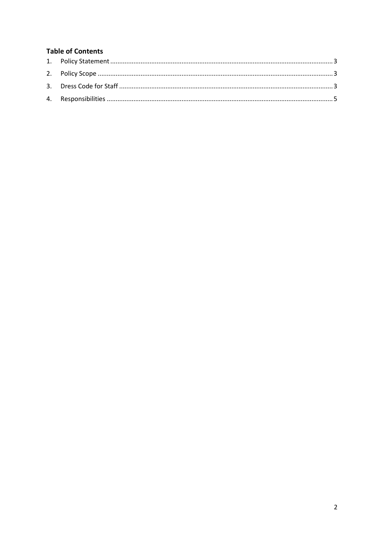# **Table of Contents**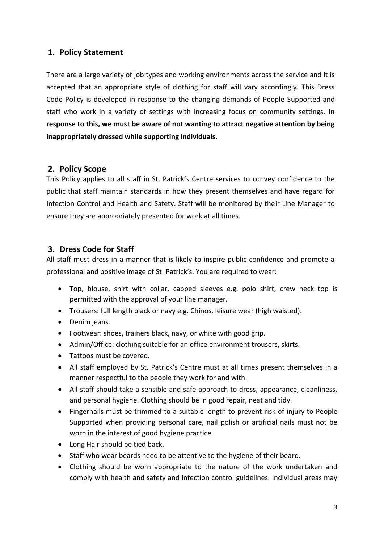# <span id="page-2-0"></span>**1. Policy Statement**

There are a large variety of job types and working environments across the service and it is accepted that an appropriate style of clothing for staff will vary accordingly. This Dress Code Policy is developed in response to the changing demands of People Supported and staff who work in a variety of settings with increasing focus on community settings. **In response to this, we must be aware of not wanting to attract negative attention by being inappropriately dressed while supporting individuals.**

# <span id="page-2-1"></span>**2. Policy Scope**

This Policy applies to all staff in St. Patrick's Centre services to convey confidence to the public that staff maintain standards in how they present themselves and have regard for Infection Control and Health and Safety. Staff will be monitored by their Line Manager to ensure they are appropriately presented for work at all times.

# <span id="page-2-2"></span>**3. Dress Code for Staff**

All staff must dress in a manner that is likely to inspire public confidence and promote a professional and positive image of St. Patrick's. You are required to wear:

- Top, blouse, shirt with collar, capped sleeves e.g. polo shirt, crew neck top is permitted with the approval of your line manager.
- Trousers: full length black or navy e.g. Chinos, leisure wear (high waisted).
- Denim jeans.
- Footwear: shoes, trainers black, navy, or white with good grip.
- Admin/Office: clothing suitable for an office environment trousers, skirts.
- Tattoos must be covered.
- All staff employed by St. Patrick's Centre must at all times present themselves in a manner respectful to the people they work for and with.
- All staff should take a sensible and safe approach to dress, appearance, cleanliness, and personal hygiene. Clothing should be in good repair, neat and tidy.
- Fingernails must be trimmed to a suitable length to prevent risk of injury to People Supported when providing personal care, nail polish or artificial nails must not be worn in the interest of good hygiene practice.
- Long Hair should be tied back.
- Staff who wear beards need to be attentive to the hygiene of their beard.
- Clothing should be worn appropriate to the nature of the work undertaken and comply with health and safety and infection control guidelines. Individual areas may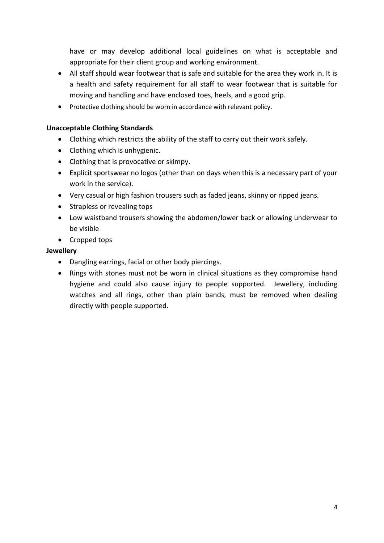have or may develop additional local guidelines on what is acceptable and appropriate for their client group and working environment.

- All staff should wear footwear that is safe and suitable for the area they work in. It is a health and safety requirement for all staff to wear footwear that is suitable for moving and handling and have enclosed toes, heels, and a good grip.
- Protective clothing should be worn in accordance with relevant policy.

#### **Unacceptable Clothing Standards**

- Clothing which restricts the ability of the staff to carry out their work safely.
- Clothing which is unhygienic.
- Clothing that is provocative or skimpy.
- Explicit sportswear no logos (other than on days when this is a necessary part of your work in the service).
- Very casual or high fashion trousers such as faded jeans, skinny or ripped jeans.
- Strapless or revealing tops
- Low waistband trousers showing the abdomen/lower back or allowing underwear to be visible
- Cropped tops

#### **Jewellery**

- Dangling earrings, facial or other body piercings.
- Rings with stones must not be worn in clinical situations as they compromise hand hygiene and could also cause injury to people supported. Jewellery, including watches and all rings, other than plain bands, must be removed when dealing directly with people supported.